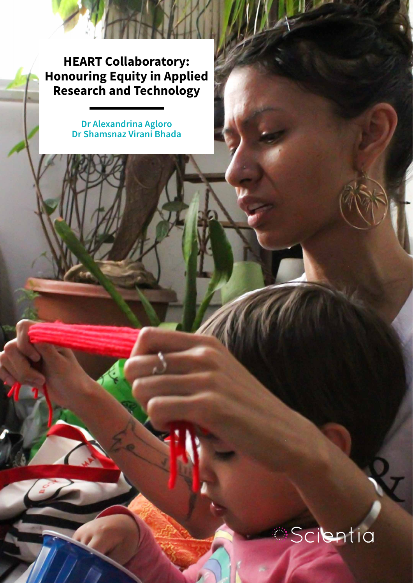**HEART Collaboratory: Honouring Equity in Applied Research and Technology**

> **Dr Alexandrina Agloro Dr Shamsnaz Virani Bhada**

## Scientia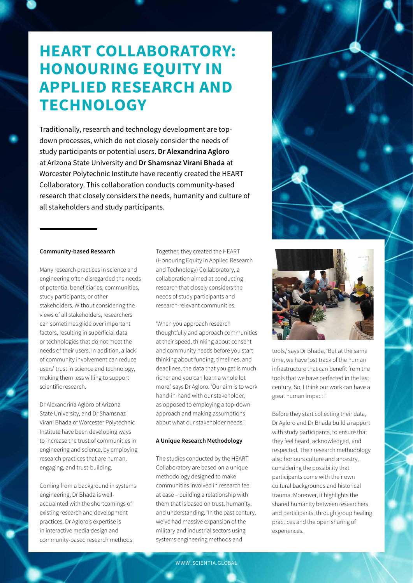### **HEART COLLABORATORY: HONOURING EQUITY IN APPLIED RESEARCH AND TECHNOLOGY**

Traditionally, research and technology development are topdown processes, which do not closely consider the needs of study participants or potential users. **Dr Alexandrina Agloro**  at Arizona State University and **Dr Shamsnaz Virani Bhada** at Worcester Polytechnic Institute have recently created the HEART Collaboratory. This collaboration conducts community-based research that closely considers the needs, humanity and culture of all stakeholders and study participants.

#### **Community-based Research**

Many research practices in science and engineering often disregarded the needs of potential beneficiaries, communities, study participants, or other stakeholders. Without considering the views of all stakeholders, researchers can sometimes glide over important factors, resulting in superficial data or technologies that do not meet the needs of their users. In addition, a lack of community involvement can reduce users' trust in science and technology, making them less willing to support scientific research.

Dr Alexandrina Agloro of Arizona State University, and Dr Shamsnaz Virani Bhada of Worcester Polytechnic Institute have been developing ways to increase the trust of communities in engineering and science, by employing research practices that are human, engaging, and trust-building.

Coming from a background in systems engineering, Dr Bhada is wellacquainted with the shortcomings of existing research and development practices. Dr Agloro's expertise is in interactive media design and community-based research methods.

Together, they created the HEART (Honouring Equity in Applied Research and Technology) Collaboratory, a collaboration aimed at conducting research that closely considers the needs of study participants and research-relevant communities.

'When you approach research thoughtfully and approach communities at their speed, thinking about consent and community needs before you start thinking about funding, timelines, and deadlines, the data that you get is much richer and you can learn a whole lot more,' says Dr Agloro. 'Our aim is to work hand-in-hand with our stakeholder, as opposed to employing a top-down approach and making assumptions about what our stakeholder needs.'

#### **A Unique Research Methodology**

The studies conducted by the HEART Collaboratory are based on a unique methodology designed to make communities involved in research feel at ease – building a relationship with them that is based on trust, humanity, and understanding. 'In the past century, we've had massive expansion of the military and industrial sectors using systems engineering methods and



tools,' says Dr Bhada. 'But at the same time, we have lost track of the human infrastructure that can benefit from the tools that we have perfected in the last century. So, I think our work can have a great human impact.'

Before they start collecting their data, Dr Agloro and Dr Bhada build a rapport with study participants, to ensure that they feel heard, acknowledged, and respected. Their research methodology also honours culture and ancestry, considering the possibility that participants come with their own cultural backgrounds and historical trauma. Moreover, it highlights the shared humanity between researchers and participants, through group healing practices and the open sharing of experiences.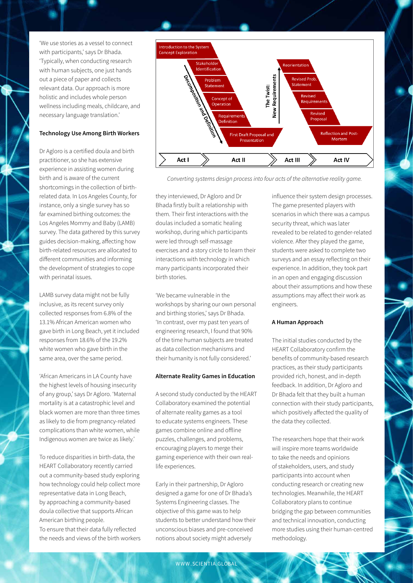'We use stories as a vessel to connect with participants,' says Dr Bhada. 'Typically, when conducting research with human subjects, one just hands out a piece of paper and collects relevant data. Our approach is more holistic and includes whole person wellness including meals, childcare, and necessary language translation.'

#### **Technology Use Among Birth Workers**

Dr Agloro is a certified doula and birth practitioner, so she has extensive experience in assisting women during birth and is aware of the current shortcomings in the collection of birthrelated data. In Los Angeles County, for instance, only a single survey has so far examined birthing outcomes: the Los Angeles Mommy and Baby (LAMB) survey. The data gathered by this survey guides decision-making, affecting how birth-related resources are allocated to different communities and informing the development of strategies to cope with perinatal issues.

LAMB survey data might not be fully inclusive, as its recent survey only collected responses from 6.8% of the 13.1% African American women who gave birth in Long Beach, yet it included responses from 18.6% of the 19.2% white women who gave birth in the same area, over the same period.

'African Americans in LA County have the highest levels of housing insecurity of any group,' says Dr Agloro. 'Maternal mortality is at a catastrophic level and black women are more than three times as likely to die from pregnancy-related complications than white women, while Indigenous women are twice as likely.'

To reduce disparities in birth-data, the HEART Collaboratory recently carried out a community-based study exploring how technology could help collect more representative data in Long Beach, by approaching a community-based doula collective that supports African American birthing people. To ensure that their data fully reflected the needs and views of the birth workers



*Converting systems design process into four acts of the alternative reality game.*

they interviewed, Dr Agloro and Dr Bhada firstly built a relationship with them. Their first interactions with the doulas included a somatic healing workshop, during which participants were led through self-massage exercises and a story circle to learn their interactions with technology in which many participants incorporated their birth stories.

'We became vulnerable in the workshops by sharing our own personal and birthing stories,' says Dr Bhada. 'In contrast, over my past ten years of engineering research, I found that 90% of the time human subjects are treated as data collection mechanisms and their humanity is not fully considered.'

#### **Alternate Reality Games in Education**

A second study conducted by the HEART Collaboratory examined the potential of alternate reality games as a tool to educate systems engineers. These games combine online and offline puzzles, challenges, and problems, encouraging players to merge their gaming experience with their own reallife experiences.

Early in their partnership, Dr Agloro designed a game for one of Dr Bhada's Systems Engineering classes. The objective of this game was to help students to better understand how their unconscious biases and pre-conceived notions about society might adversely

influence their system design processes. The game presented players with scenarios in which there was a campus security threat, which was later revealed to be related to gender-related violence. After they played the game, students were asked to complete two surveys and an essay reflecting on their experience. In addition, they took part in an open and engaging discussion about their assumptions and how these assumptions may affect their work as engineers.

#### **A Human Approach**

The initial studies conducted by the HEART Collaboratory confirm the benefits of community-based research practices, as their study participants provided rich, honest, and in-depth feedback. In addition, Dr Agloro and Dr Bhada felt that they built a human connection with their study participants, which positively affected the quality of the data they collected.

The researchers hope that their work will inspire more teams worldwide to take the needs and opinions of stakeholders, users, and study participants into account when conducting research or creating new technologies. Meanwhile, the HEART Collaboratory plans to continue bridging the gap between communities and technical innovation, conducting more studies using their human-centred methodology.